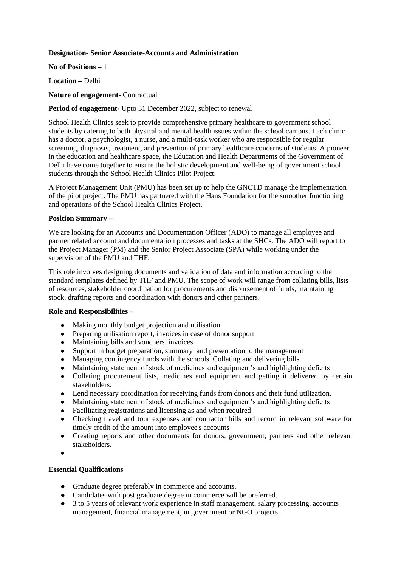### **Designation- Senior Associate-Accounts and Administration**

**No of Positions –** 1

**Location –** Delhi

**Nature of engagement**- Contractual

# **Period of engagement-** Upto 31 December 2022, subject to renewal

School Health Clinics seek to provide comprehensive primary healthcare to government school students by catering to both physical and mental health issues within the school campus. Each clinic has a doctor, a psychologist, a nurse, and a multi-task worker who are responsible for regular screening, diagnosis, treatment, and prevention of primary healthcare concerns of students. A pioneer in the education and healthcare space, the Education and Health Departments of the Government of Delhi have come together to ensure the holistic development and well-being of government school students through the School Health Clinics Pilot Project.

A Project Management Unit (PMU) has been set up to help the GNCTD manage the implementation of the pilot project. The PMU has partnered with the Hans Foundation for the smoother functioning and operations of the School Health Clinics Project.

### **Position Summary –**

We are looking for an Accounts and Documentation Officer (ADO) to manage all employee and partner related account and documentation processes and tasks at the SHCs. The ADO will report to the Project Manager (PM) and the Senior Project Associate (SPA) while working under the supervision of the PMU and THF.

This role involves designing documents and validation of data and information according to the standard templates defined by THF and PMU. The scope of work will range from collating bills, lists of resources, stakeholder coordination for procurements and disbursement of funds, maintaining stock, drafting reports and coordination with donors and other partners.

#### **Role and Responsibilities –**

- Making monthly budget projection and utilisation
- Preparing utilisation report, invoices in case of donor support
- Maintaining bills and vouchers, invoices
- Support in budget preparation, summary and presentation to the management<br>• Managing contingency funds with the schools Collating and delivering bills
- Managing contingency funds with the schools. Collating and delivering bills.
- Maintaining statement of stock of medicines and equipment's and highlighting deficits
- Collating procurement lists, medicines and equipment and getting it delivered by certain stakeholders.
- Lend necessary coordination for receiving funds from donors and their fund utilization.
- Maintaining statement of stock of medicines and equipment's and highlighting deficits
- Facilitating registrations and licensing as and when required
- Checking travel and tour expenses and contractor bills and record in relevant software for timely credit of the amount into employee's accounts
- Creating reports and other documents for donors, government, partners and other relevant stakeholders.
- ●

#### **Essential Qualifications**

- Graduate degree preferably in commerce and accounts.
- Candidates with post graduate degree in commerce will be preferred.
- 3 to 5 years of relevant work experience in staff management, salary processing, accounts management, financial management, in government or NGO projects.